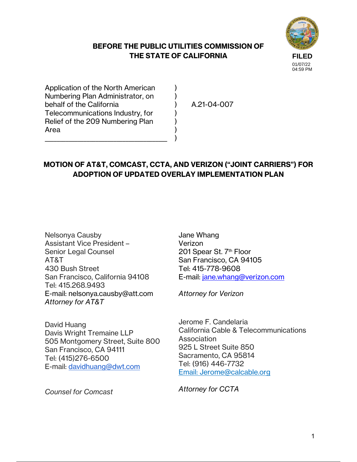## **BEFORE THE PUBLIC UTILITIES COMMISSION OF THE STATE OF CALIFORNIA**

) ) ) ) ) ) )



04:59 PM

Application of the North American Numbering Plan Administrator, on behalf of the California Telecommunications Industry, for Relief of the 209 Numbering Plan Area

\_\_\_\_\_\_\_\_\_\_\_\_\_\_\_\_\_\_\_\_\_\_\_\_\_\_\_\_\_\_\_\_\_\_\_\_\_\_\_\_\_

A.21-04-007

# **MOTION OF AT&T, COMCAST, CCTA, AND VERIZON ("JOINT CARRIERS") FOR ADOPTION OF UPDATED OVERLAY IMPLEMENTATION PLAN**

Nelsonya Causby Assistant Vice President – Senior Legal Counsel AT&T 430 Bush Street San Francisco, California 94108 Tel: 415.268.9493 E-mail: nelsonya.causby@att.com *Attorney for AT&T* 

David Huang Davis Wright Tremaine LLP 505 Montgomery Street, Suite 800 San Francisco, CA 94111 Tel: (415)276-6500 E-mail: davidhuang@dwt.com

*Counsel for Comcast* 

Jane Whang Verizon 201 Spear St. 7<sup>th</sup> Floor San Francisco, CA 94105 Tel: 415-778-9608 E-mail: jane.whang@verizon.com

*Attorney for Verizon* 

Jerome F. Candelaria California Cable & Telecommunications Association 925 L Street Suite 850 Sacramento, CA 95814 Tel: (916) 446-7732 Email: Jerome@calcable.org

*Attorney for CCTA*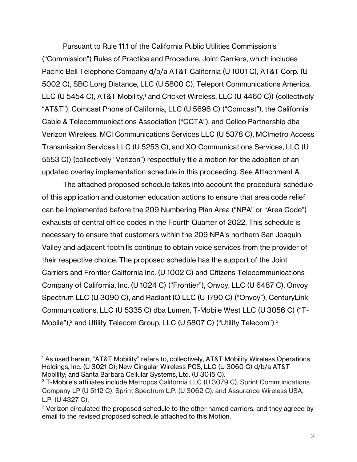Pursuant to Rule 11.1 of the California Public Utilities Commission's ("Commission") Rules of Practice and Procedure, Joint Carriers, which includes Pacific Bell Telephone Company d/b/a AT&T California (U 1001 C), AT&T Corp. (U 5002 C), SBC Long Distance, LLC (U 5800 C), Teleport Communications America, LLC (U 5454 C), AT&T Mobility,<sup>1</sup> and Cricket Wireless, LLC (U 4460 C)) (collectively "AT&T"), Comcast Phone of California, LLC (U 5698 C) ("Comcast"), the California Cable & Telecommunications Association ("CCTA"), and Cellco Partnership dba Verizon Wireless, MCI Communications Services LLC (U 5378 C), MCImetro Access Transmission Services LLC (U 5253 C), and XO Communications Services, LLC (U 5553 C)) (collectively "Verizon") respectfully file a motion for the adoption of an updated overlay implementation schedule in this proceeding. See Attachment A.

The attached proposed schedule takes into account the procedural schedule of this application and customer education actions to ensure that area code relief can be implemented before the 209 Numbering Plan Area ("NPA" or "Area Code") exhausts of central office codes in the Fourth Quarter of 2022. This schedule is necessary to ensure that customers within the 209 NPA's northern San Joaquin Valley and adjacent foothills continue to obtain voice services from the provider of their respective choice. The proposed schedule has the support of the Joint Carriers and Frontier California Inc. (U 1002 C) and Citizens Telecommunications Company of California, Inc. (U 1024 C) ("Frontier"), Onvoy, LLC (U 6487 C), Onvoy Spectrum LLC (U 3090 C), and Radiant IQ LLC (U 1790 C) ("Onvoy"), CenturyLink Communications, LLC (U 5335 C) dba Lumen, T-Mobile West LLC (U 3056 C) ("T-Mobile"),<sup>2</sup> and Utility Telecom Group, LLC (U 5807 C) ("Utility Telecom").<sup>3</sup>

<sup>&</sup>lt;sup>1</sup> As used herein, "AT&T Mobility" refers to, collectively, AT&T Mobility Wireless Operations Holdings, Inc. (U 3021 C); New Cingular Wireless PCS, LLC (U 3060 C) d/b/a AT&T Mobility; and Santa Barbara Cellular Systems, Ltd. (U 3015 C).

<sup>&</sup>lt;sup>2</sup> T-Mobile's affiliates include Metropcs California LLC (U 3079 C), Sprint Communications Company LP (U 5112 C), Sprint Spectrum L.P. (U 3062 C), and Assurance Wireless USA, L.P. (U 4327 C).

<sup>&</sup>lt;sup>3</sup> Verizon circulated the proposed schedule to the other named carriers, and they agreed by email to the revised proposed schedule attached to this Motion.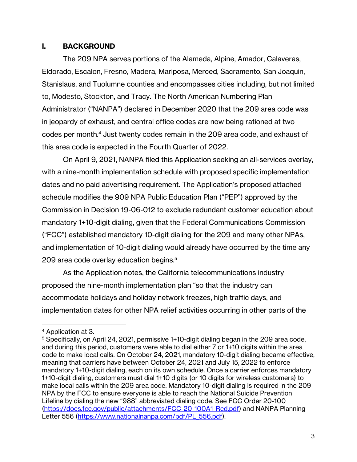### **I. BACKGROUND**

 The 209 NPA serves portions of the Alameda, Alpine, Amador, Calaveras, Eldorado, Escalon, Fresno, Madera, Mariposa, Merced, Sacramento, San Joaquin, Stanislaus, and Tuolumne counties and encompasses cities including, but not limited to, Modesto, Stockton, and Tracy. The North American Numbering Plan Administrator ("NANPA") declared in December 2020 that the 209 area code was in jeopardy of exhaust, and central office codes are now being rationed at two codes per month.4 Just twenty codes remain in the 209 area code, and exhaust of this area code is expected in the Fourth Quarter of 2022.

 On April 9, 2021, NANPA filed this Application seeking an all-services overlay, with a nine-month implementation schedule with proposed specific implementation dates and no paid advertising requirement. The Application's proposed attached schedule modifies the 909 NPA Public Education Plan ("PEP") approved by the Commission in Decision 19-06-012 to exclude redundant customer education about mandatory 1+10-digit dialing, given that the Federal Communications Commission ("FCC") established mandatory 10-digit dialing for the 209 and many other NPAs, and implementation of 10-digit dialing would already have occurred by the time any 209 area code overlay education begins.5

As the Application notes, the California telecommunications industry proposed the nine-month implementation plan "so that the industry can accommodate holidays and holiday network freezes, high traffic days, and implementation dates for other NPA relief activities occurring in other parts of the

<sup>4</sup> Application at 3.

 $5$  Specifically, on April 24, 2021, permissive 1+10-digit dialing began in the 209 area code, and during this period, customers were able to dial either 7 or 1+10 digits within the area code to make local calls. On October 24, 2021, mandatory 10-digit dialing became effective, meaning that carriers have between October 24, 2021 and July 15, 2022 to enforce mandatory 1+10-digit dialing, each on its own schedule. Once a carrier enforces mandatory 1+10-digit dialing, customers must dial 1+10 digits (or 10 digits for wireless customers) to make local calls within the 209 area code. Mandatory 10-digit dialing is required in the 209 NPA by the FCC to ensure everyone is able to reach the National Suicide Prevention Lifeline by dialing the new "988" abbreviated dialing code. See FCC Order 20-100 (https://docs.fcc.gov/public/attachments/FCC-20-100A1\_Rcd.pdf) and NANPA Planning Letter 556 (https://www.nationalnanpa.com/pdf/PL 556.pdf).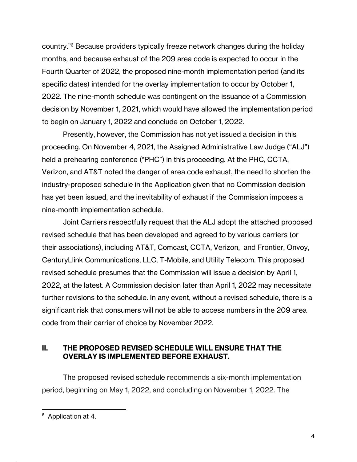country."6 Because providers typically freeze network changes during the holiday months, and because exhaust of the 209 area code is expected to occur in the Fourth Quarter of 2022, the proposed nine-month implementation period (and its specific dates) intended for the overlay implementation to occur by October 1, 2022. The nine-month schedule was contingent on the issuance of a Commission decision by November 1, 2021, which would have allowed the implementation period to begin on January 1, 2022 and conclude on October 1, 2022.

Presently, however, the Commission has not yet issued a decision in this proceeding. On November 4, 2021, the Assigned Administrative Law Judge ("ALJ") held a prehearing conference ("PHC") in this proceeding. At the PHC, CCTA, Verizon, and AT&T noted the danger of area code exhaust, the need to shorten the industry-proposed schedule in the Application given that no Commission decision has yet been issued, and the inevitability of exhaust if the Commission imposes a nine-month implementation schedule.

Joint Carriers respectfully request that the ALJ adopt the attached proposed revised schedule that has been developed and agreed to by various carriers (or their associations), including AT&T, Comcast, CCTA, Verizon, and Frontier, Onvoy, CenturyLlink Communications, LLC, T-Mobile, and Utility Telecom. This proposed revised schedule presumes that the Commission will issue a decision by April 1, 2022, at the latest. A Commission decision later than April 1, 2022 may necessitate further revisions to the schedule. In any event, without a revised schedule, there is a significant risk that consumers will not be able to access numbers in the 209 area code from their carrier of choice by November 2022.

### **II. THE PROPOSED REVISED SCHEDULE WILL ENSURE THAT THE OVERLAY IS IMPLEMENTED BEFORE EXHAUST.**

 The proposed revised schedule recommends a six-month implementation period, beginning on May 1, 2022, and concluding on November 1, 2022. The

<sup>&</sup>lt;sup>6</sup> Application at 4.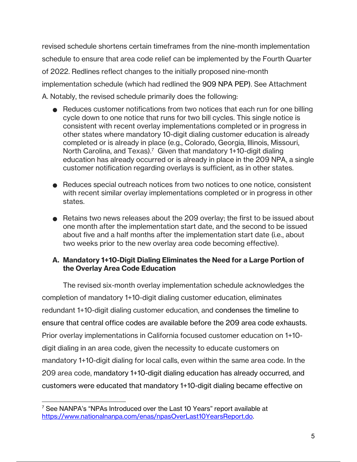revised schedule shortens certain timeframes from the nine-month implementation schedule to ensure that area code relief can be implemented by the Fourth Quarter of 2022. Redlines reflect changes to the initially proposed nine-month implementation schedule (which had redlined the 909 NPA PEP). See Attachment A. Notably, the revised schedule primarily does the following:

- Reduces customer notifications from two notices that each run for one billing cycle down to one notice that runs for two bill cycles. This single notice is consistent with recent overlay implementations completed or in progress in other states where mandatory 10-digit dialing customer education is already completed or is already in place (e.g., Colorado, Georgia, Illinois, Missouri, North Carolina, and Texas).<sup>7</sup> Given that mandatory 1+10-digit dialing education has already occurred or is already in place in the 209 NPA, a single customer notification regarding overlays is sufficient, as in other states.
- Reduces special outreach notices from two notices to one notice, consistent with recent similar overlay implementations completed or in progress in other states.
- Retains two news releases about the 209 overlay; the first to be issued about one month after the implementation start date, and the second to be issued about five and a half months after the implementation start date (i.e., about two weeks prior to the new overlay area code becoming effective).

## **A. Mandatory 1+10-Digit Dialing Eliminates the Need for a Large Portion of the Overlay Area Code Education**

The revised six-month overlay implementation schedule acknowledges the completion of mandatory 1+10-digit dialing customer education, eliminates redundant 1+10-digit dialing customer education, and condenses the timeline to ensure that central office codes are available before the 209 area code exhausts. Prior overlay implementations in California focused customer education on 1+10 digit dialing in an area code, given the necessity to educate customers on mandatory 1+10-digit dialing for local calls, even within the same area code. In the 209 area code, mandatory 1+10-digit dialing education has already occurred, and customers were educated that mandatory 1+10-digit dialing became effective on

<sup>&</sup>lt;sup>7</sup> See NANPA's "NPAs Introduced over the Last 10 Years" report available at https://www.nationalnanpa.com/enas/npasOverLast10YearsReport.do.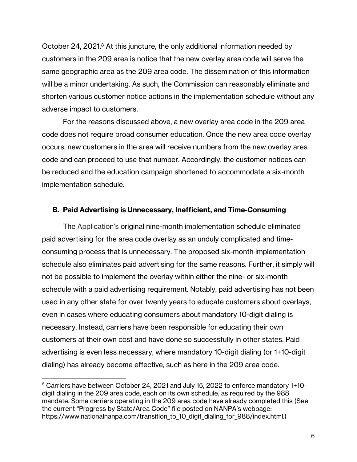October 24, 2021.<sup>8</sup> At this juncture, the only additional information needed by customers in the 209 area is notice that the new overlay area code will serve the same geographic area as the 209 area code. The dissemination of this information will be a minor undertaking. As such, the Commission can reasonably eliminate and shorten various customer notice actions in the implementation schedule without any adverse impact to customers.

For the reasons discussed above, a new overlay area code in the 209 area code does not require broad consumer education. Once the new area code overlay occurs, new customers in the area will receive numbers from the new overlay area code and can proceed to use that number. Accordingly, the customer notices can be reduced and the education campaign shortened to accommodate a six-month implementation schedule.

#### **B. Paid Advertising is Unnecessary, Inefficient, and Time-Consuming**

The Application's original nine-month implementation schedule eliminated paid advertising for the area code overlay as an unduly complicated and timeconsuming process that is unnecessary. The proposed six-month implementation schedule also eliminates paid advertising for the same reasons. Further, it simply will not be possible to implement the overlay within either the nine- or six-month schedule with a paid advertising requirement. Notably, paid advertising has not been used in any other state for over twenty years to educate customers about overlays, even in cases where educating consumers about mandatory 10-digit dialing is necessary. Instead, carriers have been responsible for educating their own customers at their own cost and have done so successfully in other states. Paid advertising is even less necessary, where mandatory 10-digit dialing (or 1+10-digit dialing) has already become effective, such as here in the 209 area code.

<sup>&</sup>lt;sup>8</sup> Carriers have between October 24, 2021 and July 15, 2022 to enforce mandatory 1+10digit dialing in the 209 area code, each on its own schedule, as required by the 988 mandate. Some carriers operating in the 209 area code have already completed this (See the current "Progress by State/Area Code" file posted on NANPA's webpage: https://www.nationalnanpa.com/transition\_to\_10\_digit\_dialing\_for\_988/index.html.)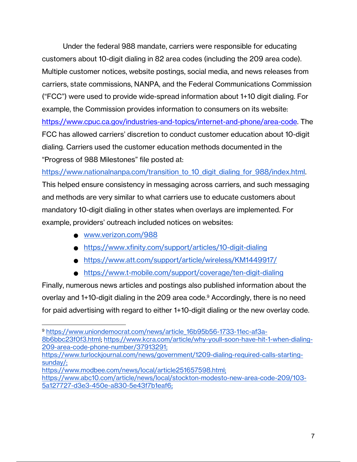Under the federal 988 mandate, carriers were responsible for educating customers about 10-digit dialing in 82 area codes (including the 209 area code). Multiple customer notices, website postings, social media, and news releases from carriers, state commissions, NANPA, and the Federal Communications Commission ("FCC") were used to provide wide-spread information about 1+10 digit dialing. For example, the Commission provides information to consumers on its website: https://www.cpuc.ca.gov/industries-and-topics/internet-and-phone/area-code. The FCC has allowed carriers' discretion to conduct customer education about 10-digit dialing. Carriers used the customer education methods documented in the "Progress of 988 Milestones" file posted at:

https://www.nationalnanpa.com/transition to 10 digit dialing for 988/index.html. This helped ensure consistency in messaging across carriers, and such messaging and methods are very similar to what carriers use to educate customers about mandatory 10-digit dialing in other states when overlays are implemented. For example, providers' outreach included notices on websites:

- www.verizon.com/988
- https://www.xfinity.com/support/articles/10-digit-dialing
- https://www.att.com/support/article/wireless/KM1449917/
- https://www.t-mobile.com/support/coverage/ten-digit-dialing

Finally, numerous news articles and postings also published information about the overlay and 1+10-digit dialing in the 209 area code.<sup>9</sup> Accordingly, there is no need for paid advertising with regard to either 1+10-digit dialing or the new overlay code.

 <sup>9</sup> https://www.uniondemocrat.com/news/article\_16b95b56-1733-11ec-af3a-

<sup>8</sup>b6bbc23f0f3.html; https://www.kcra.com/article/why-youll-soon-have-hit-1-when-dialing-209-area-code-phone-number/37913291;

https://www.turlockjournal.com/news/government/1209-dialing-required-calls-startingsunday/;

https://www.modbee.com/news/local/article251657598.html;

https://www.abc10.com/article/news/local/stockton-modesto-new-area-code-209/103- 5a127727-d3e3-450e-a830-5e43f7b1eaf6;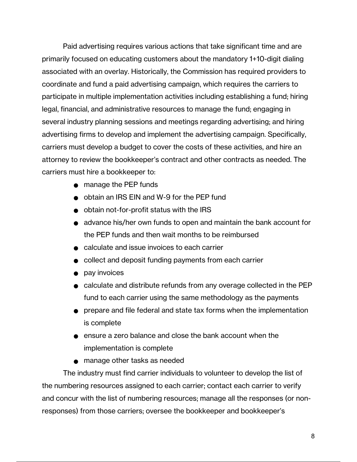Paid advertising requires various actions that take significant time and are primarily focused on educating customers about the mandatory 1+10-digit dialing associated with an overlay. Historically, the Commission has required providers to coordinate and fund a paid advertising campaign, which requires the carriers to participate in multiple implementation activities including establishing a fund; hiring legal, financial, and administrative resources to manage the fund; engaging in several industry planning sessions and meetings regarding advertising; and hiring advertising firms to develop and implement the advertising campaign. Specifically, carriers must develop a budget to cover the costs of these activities, and hire an attorney to review the bookkeeper's contract and other contracts as needed. The carriers must hire a bookkeeper to:

- manage the PEP funds
- obtain an IRS EIN and W-9 for the PEP fund
- obtain not-for-profit status with the IRS
- advance his/her own funds to open and maintain the bank account for the PEP funds and then wait months to be reimbursed
- calculate and issue invoices to each carrier
- collect and deposit funding payments from each carrier
- pay invoices
- calculate and distribute refunds from any overage collected in the PEP fund to each carrier using the same methodology as the payments
- prepare and file federal and state tax forms when the implementation is complete
- ensure a zero balance and close the bank account when the implementation is complete
- manage other tasks as needed

The industry must find carrier individuals to volunteer to develop the list of the numbering resources assigned to each carrier; contact each carrier to verify and concur with the list of numbering resources; manage all the responses (or nonresponses) from those carriers; oversee the bookkeeper and bookkeeper's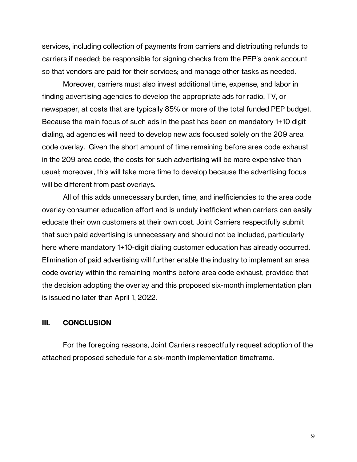services, including collection of payments from carriers and distributing refunds to carriers if needed; be responsible for signing checks from the PEP's bank account so that vendors are paid for their services; and manage other tasks as needed.

Moreover, carriers must also invest additional time, expense, and labor in finding advertising agencies to develop the appropriate ads for radio, TV, or newspaper, at costs that are typically 85% or more of the total funded PEP budget. Because the main focus of such ads in the past has been on mandatory 1+10 digit dialing, ad agencies will need to develop new ads focused solely on the 209 area code overlay. Given the short amount of time remaining before area code exhaust in the 209 area code, the costs for such advertising will be more expensive than usual; moreover, this will take more time to develop because the advertising focus will be different from past overlays.

All of this adds unnecessary burden, time, and inefficiencies to the area code overlay consumer education effort and is unduly inefficient when carriers can easily educate their own customers at their own cost. Joint Carriers respectfully submit that such paid advertising is unnecessary and should not be included, particularly here where mandatory 1+10-digit dialing customer education has already occurred. Elimination of paid advertising will further enable the industry to implement an area code overlay within the remaining months before area code exhaust, provided that the decision adopting the overlay and this proposed six-month implementation plan is issued no later than April 1, 2022.

#### **III. CONCLUSION**

For the foregoing reasons, Joint Carriers respectfully request adoption of the attached proposed schedule for a six-month implementation timeframe.